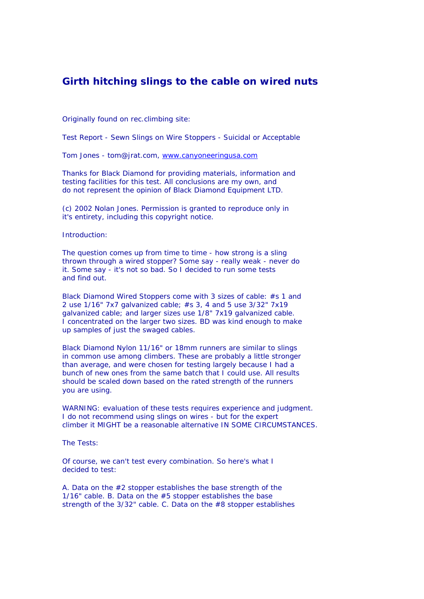## **Girth hitching slings to the cable on wired nuts**

Originally found on rec.climbing site:

Test Report - Sewn Slings on Wire Stoppers - Suicidal or Acceptable

Tom Jones - tom@jrat.com, www.canyoneeringusa.com

Thanks for Black Diamond for providing materials, information and testing facilities for this test. All conclusions are my own, and do not represent the opinion of Black Diamond Equipment LTD.

(c) 2002 Nolan Jones. Permission is granted to reproduce only in it's entirety, including this copyright notice.

## Introduction:

The question comes up from time to time - how strong is a sling thrown through a wired stopper? Some say - really weak - never do it. Some say - it's not so bad. So I decided to run some tests and find out.

Black Diamond Wired Stoppers come with 3 sizes of cable: #s 1 and 2 use 1/16" 7x7 galvanized cable; #s 3, 4 and 5 use 3/32" 7x19 galvanized cable; and larger sizes use 1/8" 7x19 galvanized cable. I concentrated on the larger two sizes. BD was kind enough to make up samples of just the swaged cables.

Black Diamond Nylon 11/16" or 18mm runners are similar to slings in common use among climbers. These are probably a little stronger than average, and were chosen for testing largely because I had a bunch of new ones from the same batch that I could use. All results should be scaled down based on the rated strength of the runners you are using.

WARNING: evaluation of these tests requires experience and judgment. I do not recommend using slings on wires - but for the expert climber it MIGHT be a reasonable alternative IN SOME CIRCUMSTANCES.

The Tests:

Of course, we can't test every combination. So here's what I decided to test:

A. Data on the #2 stopper establishes the base strength of the 1/16" cable. B. Data on the #5 stopper establishes the base strength of the 3/32" cable. C. Data on the #8 stopper establishes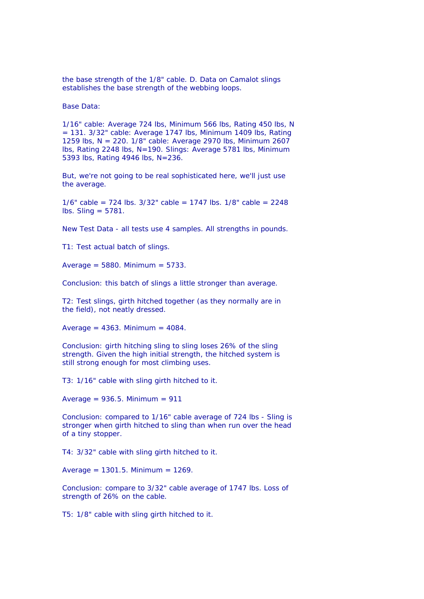the base strength of the 1/8" cable. D. Data on Camalot slings establishes the base strength of the webbing loops.

Base Data:

1/16" cable: Average 724 lbs, Minimum 566 lbs, Rating 450 lbs, N  $= 131.$  3/32" cable: Average 1747 lbs, Minimum 1409 lbs, Rating 1259 lbs, N = 220. 1/8" cable: Average 2970 lbs, Minimum 2607 lbs, Rating 2248 lbs, N=190. Slings: Average 5781 lbs, Minimum 5393 lbs, Rating 4946 lbs, N=236.

But, we're not going to be real sophisticated here, we'll just use the average.

1/6" cable = 724 lbs. 3/32" cable = 1747 lbs. 1/8" cable = 2248  $\textsf{lbs.}$  Sling = 5781.

New Test Data - all tests use 4 samples. All strengths in pounds.

T1: Test actual batch of slings.

Average =  $5880$ . Minimum =  $5733$ .

Conclusion: this batch of slings a little stronger than average.

T2: Test slings, girth hitched together (as they normally are in the field), not neatly dressed.

Average =  $4363$ . Minimum =  $4084$ .

Conclusion: girth hitching sling to sling loses 26% of the sling strength. Given the high initial strength, the hitched system is still strong enough for most climbing uses.

T3: 1/16" cable with sling girth hitched to it.

Average =  $936.5$ . Minimum =  $911$ 

Conclusion: compared to 1/16" cable average of 724 lbs - Sling is stronger when girth hitched to sling than when run over the head of a tiny stopper.

T4: 3/32" cable with sling girth hitched to it.

Average =  $1301.5$ . Minimum =  $1269$ .

Conclusion: compare to 3/32" cable average of 1747 lbs. Loss of strength of 26% on the cable.

T5: 1/8" cable with sling girth hitched to it.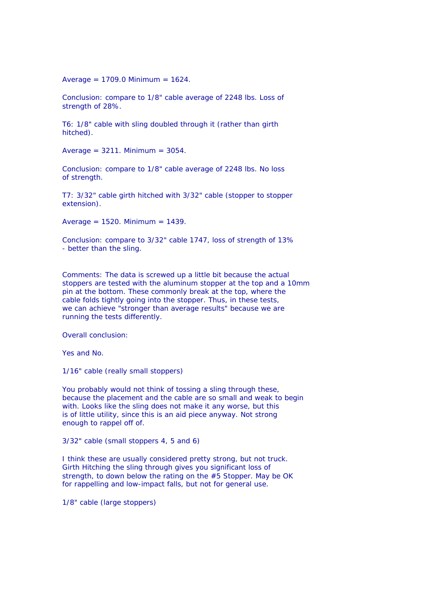Average =  $1709.0$  Minimum =  $1624$ .

Conclusion: compare to 1/8" cable average of 2248 lbs. Loss of strength of 28%.

T6: 1/8" cable with sling doubled through it (rather than girth hitched).

Average =  $3211$ . Minimum =  $3054$ .

Conclusion: compare to 1/8" cable average of 2248 lbs. No loss of strength.

T7: 3/32" cable girth hitched with 3/32" cable (stopper to stopper extension).

Average =  $1520$ . Minimum =  $1439$ .

Conclusion: compare to 3/32" cable 1747, loss of strength of 13% - better than the sling.

Comments: The data is screwed up a little bit because the actual stoppers are tested with the aluminum stopper at the top and a 10mm pin at the bottom. These commonly break at the top, where the cable folds tightly going into the stopper. Thus, in these tests, we can achieve "stronger than average results" because we are running the tests differently.

Overall conclusion:

Yes and No.

1/16" cable (really small stoppers)

You probably would not think of tossing a sling through these, because the placement and the cable are so small and weak to begin with. Looks like the sling does not make it any worse, but this is of little utility, since this is an aid piece anyway. Not strong enough to rappel off of.

3/32" cable (small stoppers 4, 5 and 6)

I think these are usually considered pretty strong, but not truck. Girth Hitching the sling through gives you significant loss of strength, to down below the rating on the #5 Stopper. May be OK for rappelling and low-impact falls, but not for general use.

1/8" cable (large stoppers)